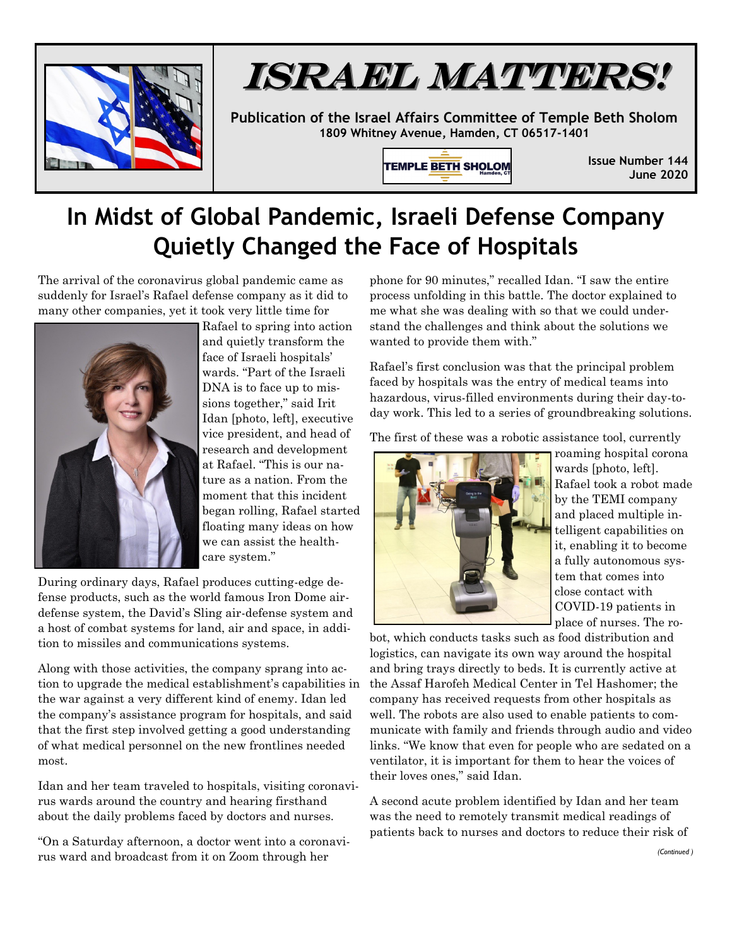

## ISRAEL MATTERS!

**Publication of the Israel Affairs Committee of Temple Beth Sholom 1809 Whitney Avenue, Hamden, CT 06517-1401**

TEMPLE BETH SHOLOM

**Issue Number 144 June 2020**

## **In Midst of Global Pandemic, Israeli Defense Company Quietly Changed the Face of Hospitals**

The arrival of the coronavirus global pandemic came as suddenly for Israel's Rafael defense company as it did to many other companies, yet it took very little time for



Rafael to spring into action and quietly transform the face of Israeli hospitals' wards. "Part of the Israeli DNA is to face up to missions together," said Irit Idan [photo, left], executive vice president, and head of research and development at Rafael. "This is our nature as a nation. From the moment that this incident began rolling, Rafael started floating many ideas on how we can assist the healthcare system."

During ordinary days, Rafael produces cutting-edge defense products, such as the world famous Iron Dome airdefense system, the David's Sling air-defense system and a host of combat systems for land, air and space, in addition to missiles and communications systems.

Along with those activities, the company sprang into action to upgrade the medical establishment's capabilities in the war against a very different kind of enemy. Idan led the company's assistance program for hospitals, and said that the first step involved getting a good understanding of what medical personnel on the new frontlines needed most.

Idan and her team traveled to hospitals, visiting coronavirus wards around the country and hearing firsthand about the daily problems faced by doctors and nurses.

"On a Saturday afternoon, a doctor went into a coronavirus ward and broadcast from it on Zoom through her

phone for 90 minutes," recalled Idan. "I saw the entire process unfolding in this battle. The doctor explained to me what she was dealing with so that we could understand the challenges and think about the solutions we wanted to provide them with."

Rafael's first conclusion was that the principal problem faced by hospitals was the entry of medical teams into hazardous, virus-filled environments during their day-today work. This led to a series of groundbreaking solutions.

The first of these was a robotic assistance tool, currently



roaming hospital corona wards [photo, left]. Rafael took a robot made by the TEMI company and placed multiple intelligent capabilities on it, enabling it to become a fully autonomous system that comes into close contact with COVID-19 patients in place of nurses. The ro-

bot, which conducts tasks such as food distribution and logistics, can navigate its own way around the hospital and bring trays directly to beds. It is currently active at the Assaf Harofeh Medical Center in Tel Hashomer; the company has received requests from other hospitals as well. The robots are also used to enable patients to communicate with family and friends through audio and video links. "We know that even for people who are sedated on a ventilator, it is important for them to hear the voices of their loves ones," said Idan.

A second acute problem identified by Idan and her team was the need to remotely transmit medical readings of patients back to nurses and doctors to reduce their risk of